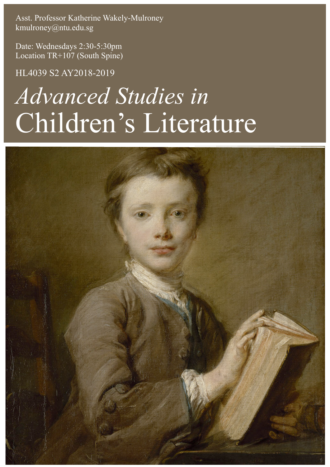Asst. Professor Katherine Wakely-Mulroney kmulroney@ntu.edu.sg

Date: Wednesdays 2:30-5:30pm Location TR+107 (South Spine)

HL4039 S2 AY2018-2019

# *Advanced Studies in* Children's Literature

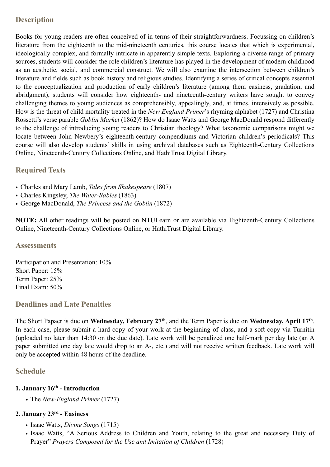## **Description**

Books for young readers are often conceived of in terms of their straightforwardness. Focussing on children's literature from the eighteenth to the mid-nineteenth centuries, this course locates that which is experimental, ideologically complex, and formally intricate in apparently simple texts. Exploring a diverse range of primary sources, students will consider the role children's literature has played in the development of modern childhood as an aesthetic, social, and commercial construct. We will also examine the intersection between children's literature and fields such as book history and religious studies. Identifying a series of critical concepts essential to the conceptualization and production of early children's literature (among them easiness, gradation, and abridgment), students will consider how eighteenth- and nineteenth-century writers have sought to convey challenging themes to young audiences as comprehensibly, appealingly, and, at times, intensively as possible. How is the threat of child mortality treated in the *New England Primer*'s rhyming alphabet (1727) and Christina Rossetti's verse parable *Goblin Market* (1862)? How do Isaac Watts and George MacDonald respond differently to the challenge of introducing young readers to Christian theology? What taxonomic comparisons might we locate between John Newbery's eighteenth-century compendiums and Victorian children's periodicals? This course will also develop students' skills in using archival databases such as Eighteenth-Century Collections Online, Nineteenth-Century Collections Online, and HathiTrust Digital Library.

# **Required Texts**

- Charles and Mary Lamb, *Tales from Shakespeare* (1807)
- Charles Kingsley, *The Water-Babies* (1863)
- George MacDonald, *The Princess and the Goblin* (1872)

**NOTE:** All other readings will be posted on NTULearn or are available via Eighteenth-Century Collections Online, Nineteenth-Century Collections Online, or HathiTrust Digital Library.

#### **Assessments**

Participation and Presentation: 10% Short Paper: 15% Term Paper: 25% Final Exam: 50%

## **Deadlines and Late Penalties**

The Short Papaer is due on **Wednesday, February 27th**, and the Term Paper is due on **Wednesday, April 17th**. In each case, please submit a hard copy of your work at the beginning of class, and a soft copy via Turnitin (uploaded no later than 14:30 on the due date). Late work will be penalized one half-mark per day late (an A paper submitted one day late would drop to an A-, etc.) and will not receive written feedback. Late work will only be accepted within 48 hours of the deadline.

## **Schedule**

#### **1. January 16th - Introduction**

*•* The *New-England Primer* (1727)

## **2. January 23rd - Easiness**

- Isaac Watts, *Divine Songs* (1715)
- Isaac Watts, "A Serious Address to Children and Youth, relating to the great and necessary Duty of Prayer" *Prayers Composed for the Use and Imitation of Children* (1728)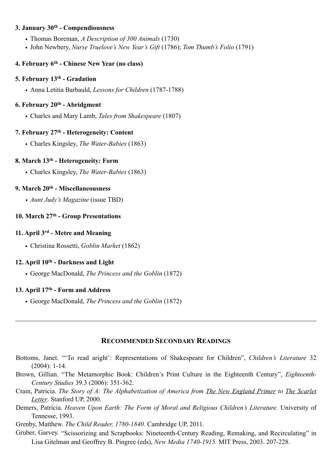#### **3. January 30th - Compendiousness**

- Thomas Boreman, *A Description of 300 Animals* (1730)
- John Newbery, *Nurse Truelove's New Year's Gift* (1786); *Tom Thumb's Folio* (1791)

## **4. February 6th - Chinese New Year (no class)**

#### **5. February 13th - Gradation**

• Anna Letitia Barbauld, *Lessons for Children* (1787-1788)

#### **6. February 20th - Abridgment**

• Charles and Mary Lamb, *Tales from Shakespeare* (1807)

## **7. February 27th - Heterogeneity: Content**

• Charles Kingsley, *The Water-Babies* (1863)

#### **8. March 13th - Heterogeneity: Form**

• Charles Kingsley, *The Water-Babies* (1863)

#### **9. March 20th - Miscellaneousness**

*• Aunt Judy's Magazine* (issue TBD)

#### **10. March 27th - Group Presentations**

#### **11. April 3rd - Metre and Meaning**

• Christina Rossetti, *Goblin Market* (1862)

#### **12. April 10th - Darkness and Light**

• George MacDonald, *The Princess and the Goblin* (1872)

#### **13. April 17th - Form and Address**

• George MacDonald, *The Princess and the Goblin* (1872)

#### **RECOMMENDED SECONDARY READINGS**

- Bottoms, Janet. "'To read aright': Representations of Shakespeare for Children", *Children's Literature* 32 (2004): 1-14.
- Brown, Gillian. "The Metamorphic Book: Children's Print Culture in the Eighteenth Century", *Eighteenth-Century Studies* 39.3 (2006): 351-362.
- Crain, Patricia. *The Story of A: The Alphabetization of America from The New England Primer to The Scarlet Letter*. Stanford UP, 2000.
- Demers, Patricia. *Heaven Upon Earth: The Form of Moral and Religious Children's Literature*. University of Tennesse, 1993.

Grenby, Matthew. *The Child Reader, 1780-1840.* Cambridge UP, 2011.

Gruber, Garvey. "Scissorizing and Scrapbooks: Nineteenth-Century Reading, Remaking, and Recirculating" in Lisa Gitelman and Geoffrey B. Pingree (eds), *New Media 1740-1915.* MIT Press, 2003. 207-228.